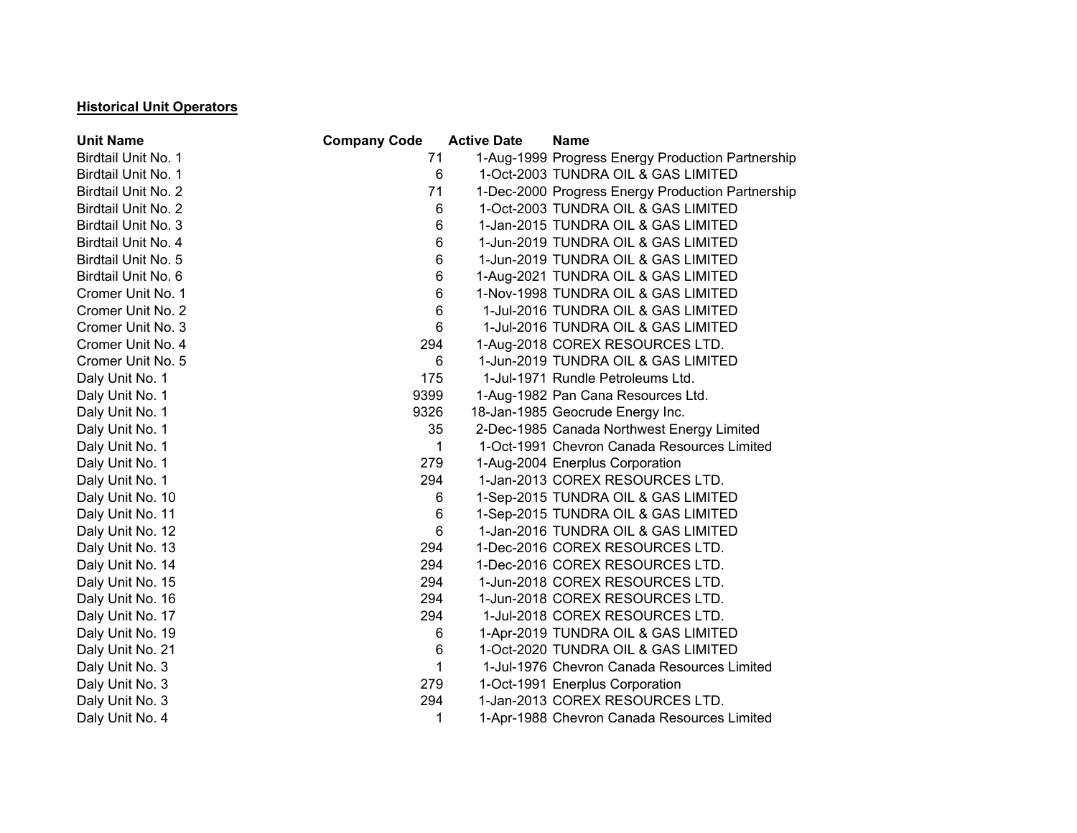## **Historical Unit Operators**

| <b>Unit Name</b>    | <b>Company Code</b> | <b>Active Date</b> | <b>Name</b>                                       |  |
|---------------------|---------------------|--------------------|---------------------------------------------------|--|
| Birdtail Unit No. 1 | 71                  |                    | 1-Aug-1999 Progress Energy Production Partnership |  |
| Birdtail Unit No. 1 | 6                   |                    | 1-Oct-2003 TUNDRA OIL & GAS LIMITED               |  |
| Birdtail Unit No. 2 | 71                  |                    | 1-Dec-2000 Progress Energy Production Partnership |  |
| Birdtail Unit No. 2 | 6                   |                    | 1-Oct-2003 TUNDRA OIL & GAS LIMITED               |  |
| Birdtail Unit No. 3 | 6                   |                    | 1-Jan-2015 TUNDRA OIL & GAS LIMITED               |  |
| Birdtail Unit No. 4 | 6                   |                    | 1-Jun-2019 TUNDRA OIL & GAS LIMITED               |  |
| Birdtail Unit No. 5 | 6                   |                    | 1-Jun-2019 TUNDRA OIL & GAS LIMITED               |  |
| Birdtail Unit No. 6 | 6                   |                    | 1-Aug-2021 TUNDRA OIL & GAS LIMITED               |  |
| Cromer Unit No. 1   | 6                   |                    | 1-Nov-1998 TUNDRA OIL & GAS LIMITED               |  |
| Cromer Unit No. 2   | 6                   |                    | 1-Jul-2016 TUNDRA OIL & GAS LIMITED               |  |
| Cromer Unit No. 3   | 6                   |                    | 1-Jul-2016 TUNDRA OIL & GAS LIMITED               |  |
| Cromer Unit No. 4   | 294                 |                    | 1-Aug-2018 COREX RESOURCES LTD.                   |  |
| Cromer Unit No. 5   | 6                   |                    | 1-Jun-2019 TUNDRA OIL & GAS LIMITED               |  |
| Daly Unit No. 1     | 175                 |                    | 1-Jul-1971 Rundle Petroleums Ltd.                 |  |
| Daly Unit No. 1     | 9399                |                    | 1-Aug-1982 Pan Cana Resources Ltd.                |  |
| Daly Unit No. 1     | 9326                |                    | 18-Jan-1985 Geocrude Energy Inc.                  |  |
| Daly Unit No. 1     | 35                  |                    | 2-Dec-1985 Canada Northwest Energy Limited        |  |
| Daly Unit No. 1     | 1                   |                    | 1-Oct-1991 Chevron Canada Resources Limited       |  |
| Daly Unit No. 1     | 279                 |                    | 1-Aug-2004 Enerplus Corporation                   |  |
| Daly Unit No. 1     | 294                 |                    | 1-Jan-2013 COREX RESOURCES LTD.                   |  |
| Daly Unit No. 10    | 6                   |                    | 1-Sep-2015 TUNDRA OIL & GAS LIMITED               |  |
| Daly Unit No. 11    | 6                   |                    | 1-Sep-2015 TUNDRA OIL & GAS LIMITED               |  |
| Daly Unit No. 12    | 6                   |                    | 1-Jan-2016 TUNDRA OIL & GAS LIMITED               |  |
| Daly Unit No. 13    | 294                 |                    | 1-Dec-2016 COREX RESOURCES LTD.                   |  |
| Daly Unit No. 14    | 294                 |                    | 1-Dec-2016 COREX RESOURCES LTD.                   |  |
| Daly Unit No. 15    | 294                 |                    | 1-Jun-2018 COREX RESOURCES LTD.                   |  |
| Daly Unit No. 16    | 294                 |                    | 1-Jun-2018 COREX RESOURCES LTD.                   |  |
| Daly Unit No. 17    | 294                 |                    | 1-Jul-2018 COREX RESOURCES LTD.                   |  |
| Daly Unit No. 19    | 6                   |                    | 1-Apr-2019 TUNDRA OIL & GAS LIMITED               |  |
| Daly Unit No. 21    | 6                   |                    | 1-Oct-2020 TUNDRA OIL & GAS LIMITED               |  |
| Daly Unit No. 3     | 1                   |                    | 1-Jul-1976 Chevron Canada Resources Limited       |  |
| Daly Unit No. 3     | 279                 |                    | 1-Oct-1991 Enerplus Corporation                   |  |
| Daly Unit No. 3     | 294                 |                    | 1-Jan-2013 COREX RESOURCES LTD.                   |  |
| Daly Unit No. 4     | 1                   |                    | 1-Apr-1988 Chevron Canada Resources Limited       |  |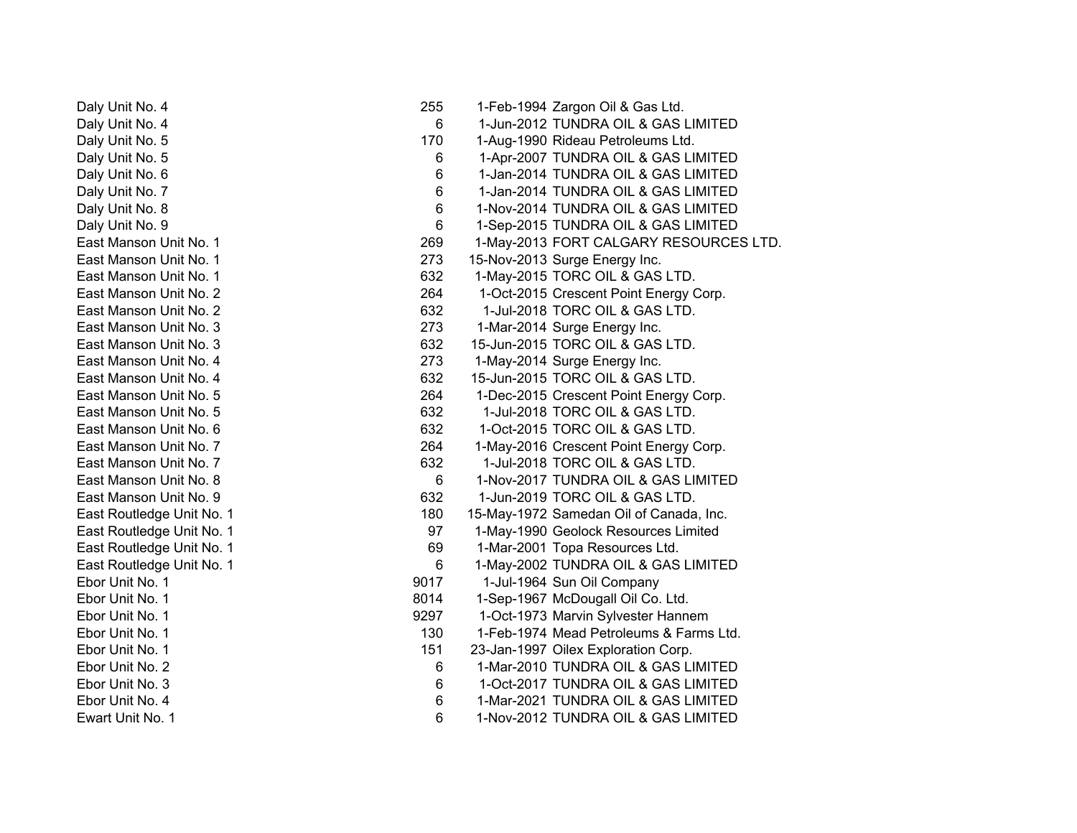Daly Unit No. 4 255 1-Feb-1994 Zargon Oil & Gas Ltd. Daly Unit No. 4 6 1-Jun-2012 TUNDRA OIL & GAS LIMITED Daly Unit No. 5 170 1-Aug-1990 Rideau Petroleums Ltd. Daly Unit No. 5 **6** 1-Apr-2007 TUNDRA OIL & GAS LIMITED Daly Unit No. 6 6 and 1-Jan-2014 TUNDRA OIL & GAS LIMITED Daly Unit No. 7 6 1-Jan-2014 TUNDRA OIL & GAS LIMITED Daly Unit No. 8 **6 1-Nov-2014 TUNDRA OIL & GAS LIMITED** Daly Unit No. 9 **6 1-Sep-2015 TUNDRA OIL & GAS LIMITED** East Manson Unit No. 1 **269** 1-May-2013 FORT CALGARY RESOURCES LTD. East Manson Unit No. 1 273 15-Nov-2013 Surge Energy Inc. East Manson Unit No. 1 632 1-May-2015 TORC OIL & GAS LTD. East Manson Unit No. 2 264 1-Oct-2015 Crescent Point Energy Corp. East Manson Unit No. 2 632 1-Jul-2018 TORC OIL & GAS LTD.East Manson Unit No. 3 273 1-Mar-2014 Surge Energy Inc. East Manson Unit No. 3 632 15-Jun-2015 TORC OIL & GAS LTD. East Manson Unit No. 4 273 1-May-2014 Surge Energy Inc. East Manson Unit No. 4 632 15-Jun-2015 TORC OIL & GAS LTD.East Manson Unit No. 5 264 1-Dec-2015 Crescent Point Energy Corp. East Manson Unit No. 5 632 1-Jul-2018 TORC OIL & GAS LTD.East Manson Unit No. 6 632 for the Case of the Case of the Case of the Case of the GAS LTD. East Manson Unit No. 7 264 1-May-2016 Crescent Point Energy Corp. East Manson Unit No. 7 632 1-Jul-2018 TORC OIL & GAS LTD.East Manson Unit No. 8 6 1-Nov-2017 TUNDRA OIL & GAS LIMITED East Manson Unit No. 9 632 1-Jun-2019 TORC OIL & GAS LTD. East Routledge Unit No. 1 180 15-May-1972 Samedan Oil of Canada, Inc. East Routledge Unit No. 1 97 1-May-1990 Geolock Resources Limited East Routledge Unit No. 1 **69 1-Mar-2001** Topa Resources Ltd. East Routledge Unit No. 1 **6** 1-May-2002 TUNDRA OIL & GAS LIMITED Ebor Unit No. 1 9017 1-Jul-1964 Sun Oil Company Ebor Unit No. 1 **8014** 1-Sep-1967 McDougall Oil Co. Ltd. Ebor Unit No. 1 9297 1-Oct-1973 Marvin Sylvester Hannem Ebor Unit No. 1 130 1-Feb-1974 Mead Petroleums & Farms Ltd. Ebor Unit No. 1 151 23-Jan-1997 Oilex Exploration Corp. Ebor Unit No. 2 **6 1-Mar-2010 TUNDRA OIL & GAS LIMITED** Ebor Unit No. 3 6 1-Oct-2017 TUNDRA OIL & GAS LIMITEDEbor Unit No. 4 6 1-Mar-2021 TUNDRA OIL & GAS LIMITEDEwart Unit No. 1 6 1-Nov-2012 TUNDRA OIL & GAS LIMITED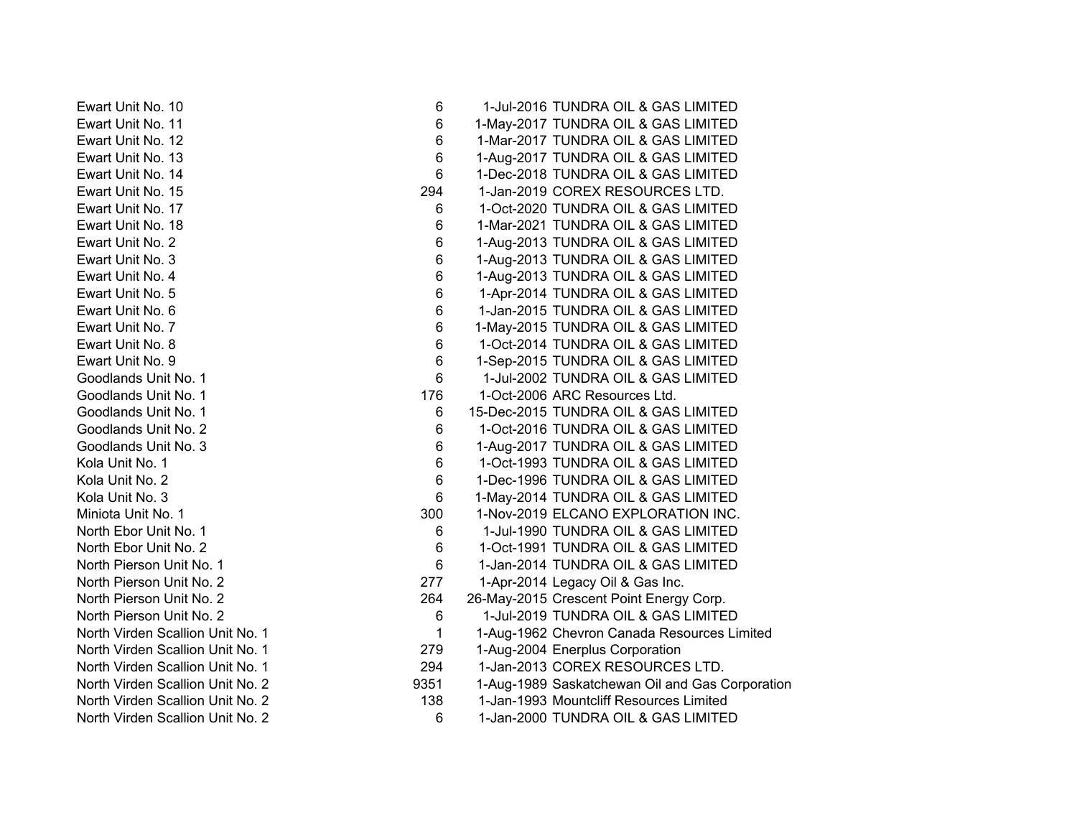Ewart Unit No. 10 6 1-Jul-2016 TUNDRA OIL & GAS LIMITEDEwart Unit No. 11 **Example 2018** 6 1-May-2017 TUNDRA OIL & GAS LIMITED Ewart Unit No. 12 6 1-Mar-2017 TUNDRA OIL & GAS LIMITEDEwart Unit No. 13 6 1-Aug-2017 TUNDRA OIL & GAS LIMITED Ewart Unit No. 14 6 1-Dec-2018 TUNDRA OIL & GAS LIMITEDEwart Unit No. 15 294 1-Jan-2019 COREX RESOURCES LTD.Ewart Unit No. 17 6 1-Oct-2020 TUNDRA OIL & GAS LIMITEDEwart Unit No. 18 **6 1-Mar-2021 TUNDRA OIL & GAS LIMITED** Ewart Unit No. 2 **6 1-Aug-2013 TUNDRA OIL & GAS LIMITED** Ewart Unit No. 3 6 1-Aug-2013 TUNDRA OIL & GAS LIMITED Ewart Unit No. 4 6 1-Aug-2013 TUNDRA OIL & GAS LIMITED Ewart Unit No. 5 6 1-Apr-2014 TUNDRA OIL & GAS LIMITED Ewart Unit No. 6 6 1-Jan-2015 TUNDRA OIL & GAS LIMITEDEwart Unit No. 7 **6 1-May-2015 TUNDRA OIL & GAS LIMITED** Ewart Unit No. 8 6 1-Oct-2014 TUNDRA OIL & GAS LIMITED Ewart Unit No. 9 **6 1-Sep-2015 TUNDRA OIL & GAS LIMITED** Goodlands Unit No. 1 **6** 1-Jul-2002 TUNDRA OIL & GAS LIMITED Goodlands Unit No. 1 176 176 1-Oct-2006 ARC Resources Ltd. Goodlands Unit No. 1 **6 15-Dec-2015 TUNDRA OIL & GAS LIMITED** Goodlands Unit No. 2 **6** 1-Oct-2016 TUNDRA OIL & GAS LIMITED Goodlands Unit No. 3 6 1-Aug-2017 TUNDRA OIL & GAS LIMITED Kola Unit No. 1 **6** 1-Oct-1993 TUNDRA OIL & GAS LIMITED Kola Unit No. 2 **6 1-Dec-1996 TUNDRA OIL & GAS LIMITED** Kola Unit No. 3 **6 1-May-2014 TUNDRA OIL & GAS LIMITED** Miniota Unit No. 1 300 1-Nov-2019 ELCANO EXPLORATION INC. North Ebor Unit No. 1 **6** 1-Jul-1990 TUNDRA OIL & GAS LIMITED North Ebor Unit No. 2 **6** 1-Oct-1991 TUNDRA OIL & GAS LIMITED North Pierson Unit No. 1 **6** 1-Jan-2014 TUNDRA OIL & GAS LIMITED North Pierson Unit No. 2 277 1-Apr-2014 Legacy Oil & Gas Inc. North Pierson Unit No. 2 264 26-May-2015 Crescent Point Energy Corp. North Pierson Unit No. 2 **6** 1-Jul-2019 TUNDRA OIL & GAS LIMITED North Virden Scallion Unit No. 1 1 1-Aug-1962 Chevron Canada Resources Limited North Virden Scallion Unit No. 1 279 1-Aug-2004 Enerplus Corporation North Virden Scallion Unit No. 1 294 1-Jan-2013 COREX RESOURCES LTD.North Virden Scallion Unit No. 2 1-Aug-1989 Saskatchewan Oil and Gas Corporation North Virden Scallion Unit No. 2 138 1-Jan-1993 Mountcliff Resources Limited North Virden Scallion Unit No. 2 6 1-Jan-2000 TUNDRA OIL & GAS LIMITED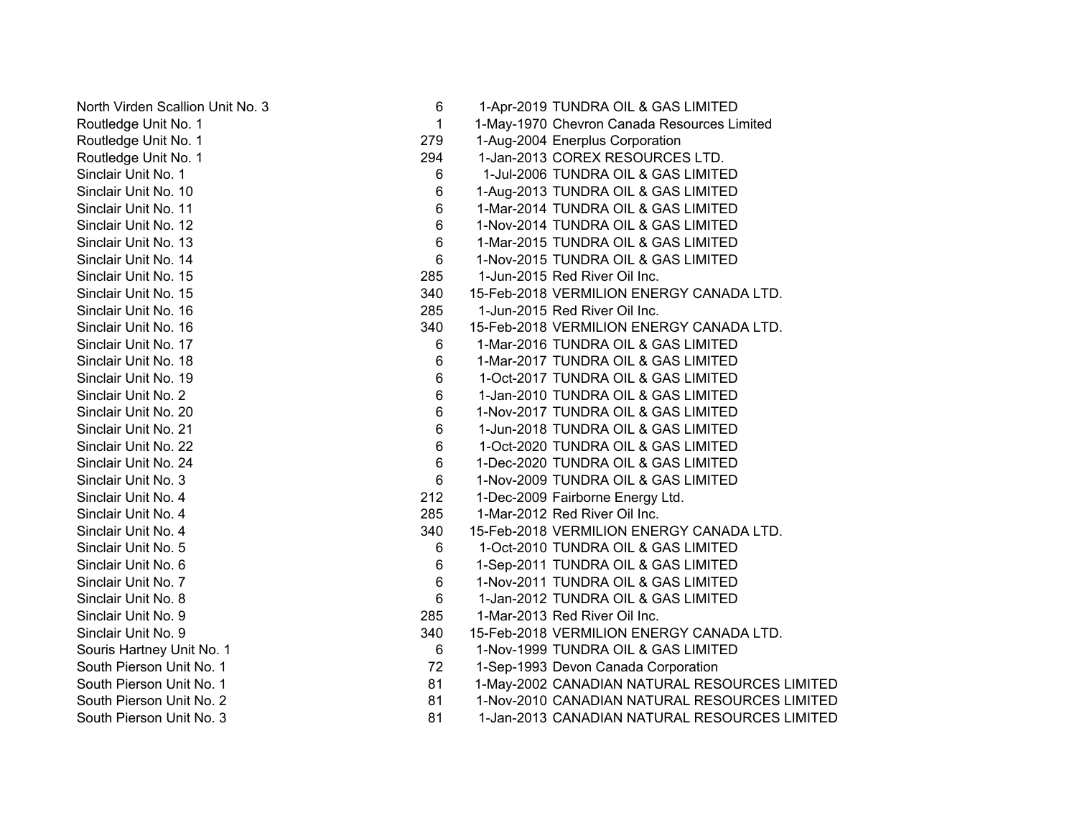North Virden Scallion Unit No. 3 6 1-Apr-2019 TUNDRA OIL & GAS LIMITED Routledge Unit No. 1 1 1-May-1970 Chevron Canada Resources Limited Routledge Unit No. 1 279 1-Aug-2004 Enerplus Corporation Routledge Unit No. 1 294 1-Jan-2013 COREX RESOURCES LTD. Sinclair Unit No. 1 6 1-Jul-2006 TUNDRA OIL & GAS LIMITEDSinclair Unit No. 10 **6** 1-Aug-2013 TUNDRA OIL & GAS LIMITED Sinclair Unit No. 11 **6** 1-Mar-2014 TUNDRA OIL & GAS LIMITED Sinclair Unit No. 12 **6** 1-Nov-2014 TUNDRA OIL & GAS LIMITED Sinclair Unit No. 13 **6** 1-Mar-2015 TUNDRA OIL & GAS LIMITED Sinclair Unit No. 14 **6 1-Nov-2015 TUNDRA OIL & GAS LIMITED** Sinclair Unit No. 15 285 1-Jun-2015 Red River Oil Inc.Sinclair Unit No. 15 **340** 340 15-Feb-2018 VERMILION ENERGY CANADA LTD. Sinclair Unit No. 16 285 1-Jun-2015 Red River Oil Inc.Sinclair Unit No. 16 **340** 340 15-Feb-2018 VERMILION ENERGY CANADA LTD. Sinclair Unit No. 17 **6** 1-Mar-2016 TUNDRA OIL & GAS LIMITED Sinclair Unit No. 18 **6 1-Mar-2017 TUNDRA OIL & GAS LIMITED** Sinclair Unit No. 19 6 1-Oct-2017 TUNDRA OIL & GAS LIMITED Sinclair Unit No. 2 6 1-Jan-2010 TUNDRA OIL & GAS LIMITEDSinclair Unit No. 20 6 1-Nov-2017 TUNDRA OIL & GAS LIMITEDSinclair Unit No. 21 6 1-Jun-2018 TUNDRA OIL & GAS LIMITEDSinclair Unit No. 22 6 1-Oct-2020 TUNDRA OIL & GAS LIMITEDSinclair Unit No. 24 **6** 1-Dec-2020 TUNDRA OIL & GAS LIMITED Sinclair Unit No. 3 6 1-Nov-2009 TUNDRA OIL & GAS LIMITED Sinclair Unit No. 4 212 1-Dec-2009 Fairborne Energy Ltd. Sinclair Unit No. 4 285 1-Mar-2012 Red River Oil Inc.Sinclair Unit No. 4 340 15-Feb-2018 VERMILION ENERGY CANADA LTD.Sinclair Unit No. 5 6 1-Oct-2010 TUNDRA OIL & GAS LIMITEDSinclair Unit No. 6 6 6 6 1-Sep-2011 TUNDRA OIL & GAS LIMITED Sinclair Unit No. 7 **6 1-Nov-2011 TUNDRA OIL & GAS LIMITED** Sinclair Unit No. 8 6 1-Jan-2012 TUNDRA OIL & GAS LIMITED Sinclair Unit No. 9 285 1-Mar-2013 Red River Oil Inc.Sinclair Unit No. 9 340 15-Feb-2018 VERMILION ENERGY CANADA LTD. Souris Hartney Unit No. 1 **6 1-Nov-1999 TUNDRA OIL & GAS LIMITED** South Pierson Unit No. 1 72 1-Sep-1993 Devon Canada Corporation South Pierson Unit No. 1 **81 1-May-2002 CANADIAN NATURAL RESOURCES LIMITED** South Pierson Unit No. 2 81 1-Nov-2010 CANADIAN NATURAL RESOURCES LIMITEDSouth Pierson Unit No. 3 81 1-Jan-2013 CANADIAN NATURAL RESOURCES LIMITED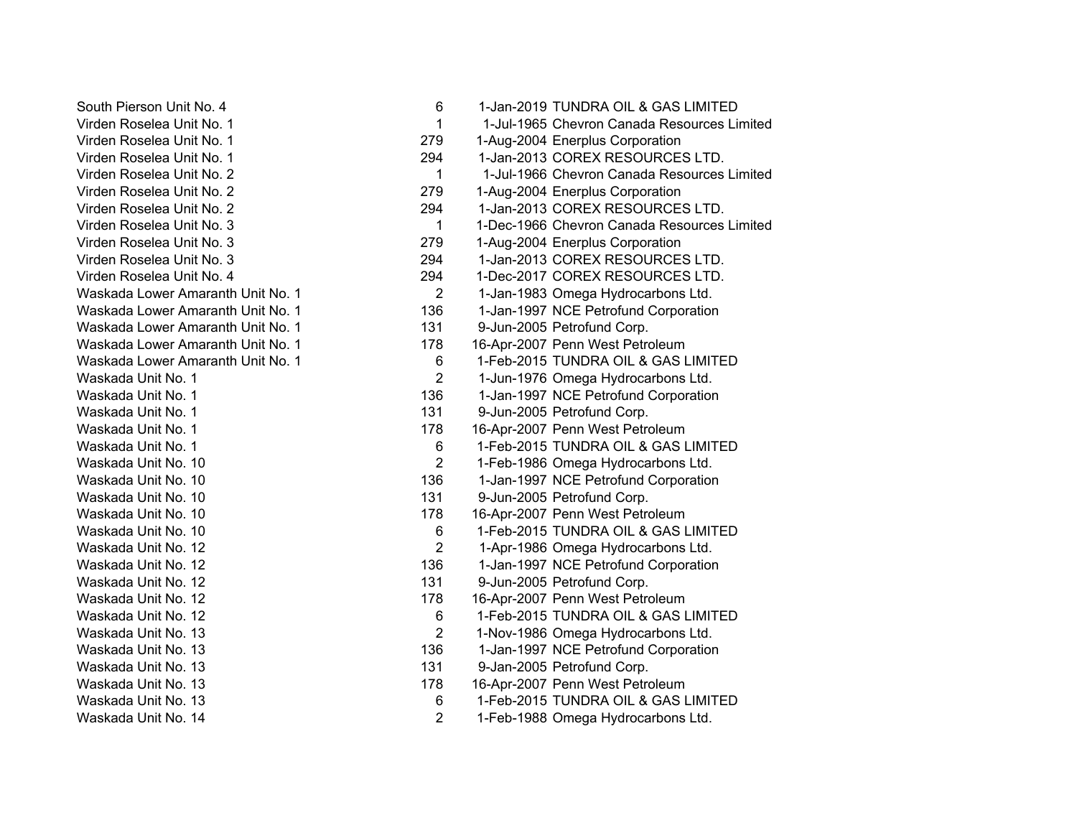South Pierson Unit No. 4 6 1-Jan-2019 TUNDRA OIL & GAS LIMITED Virden Roselea Unit No. 1 1 1-Jul-1965 Chevron Canada Resources LimitedVirden Roselea Unit No. 1 279 1-Aug-2004 Enerplus Corporation Virden Roselea Unit No. 1 294 1-Jan-2013 COREX RESOURCES LTD.Virden Roselea Unit No. 2 1 1-Jul-1966 Chevron Canada Resources LimitedVirden Roselea Unit No. 2 279 1-Aug-2004 Enerplus Corporation Virden Roselea Unit No. 2 294 1-Jan-2013 COREX RESOURCES LTD.Virden Roselea Unit No. 3 1 1-Dec-1966 Chevron Canada Resources LimitedVirden Roselea Unit No. 3 279 1-Aug-2004 Enerplus Corporation Virden Roselea Unit No. 3 294 1-Jan-2013 COREX RESOURCES LTD.Virden Roselea Unit No. 4 294 1-Dec-2017 COREX RESOURCES LTD.Waskada Lower Amaranth Unit No. 1 2 1-Jan-1983 Omega Hydrocarbons Ltd. Waskada Lower Amaranth Unit No. 1 136 1-Jan-1997 NCE Petrofund Corporation Waskada Lower Amaranth Unit No. 1 131 9-Jun-2005 Petrofund Corp. Waskada Lower Amaranth Unit No. 1 178 178 16-Apr-2007 Penn West Petroleum Waskada Lower Amaranth Unit No. 1 6 1-Feb-2015 TUNDRA OIL & GAS LIMITED Waskada Unit No. 1 **2** 2 1-Jun-1976 Omega Hydrocarbons Ltd. Waskada Unit No. 1 136 1-Jan-1997 NCE Petrofund Corporation Waskada Unit No. 1 131 9-Jun-2005 Petrofund Corp. Waskada Unit No. 1 178 178 16-Apr-2007 Penn West Petroleum Waskada Unit No. 1 **6** 1-Feb-2015 TUNDRA OIL & GAS LIMITED Waskada Unit No. 10 **2** 2 1-Feb-1986 Omega Hydrocarbons Ltd. Waskada Unit No. 10 136 136 1-Jan-1997 NCE Petrofund Corporation Waskada Unit No. 10 131 9-Jun-2005 Petrofund Corp. Waskada Unit No. 10 178 178 16-Apr-2007 Penn West Petroleum Waskada Unit No. 10 **6** 1-Feb-2015 TUNDRA OIL & GAS LIMITED Waskada Unit No. 12 **2 1-Apr-1986** Omega Hydrocarbons Ltd. Waskada Unit No. 12 136 1-Jan-1997 NCE Petrofund Corporation Waskada Unit No. 12 131 9-Jun-2005 Petrofund Corp. Waskada Unit No. 12 178 178 16-Apr-2007 Penn West Petroleum Waskada Unit No. 12 **6** 1-Feb-2015 TUNDRA OIL & GAS LIMITED Waskada Unit No. 13 **2 1-Nov-1986** Omega Hydrocarbons Ltd. Waskada Unit No. 13 136 136 1-Jan-1997 NCE Petrofund Corporation Waskada Unit No. 13 131 131 9-Jan-2005 Petrofund Corp. Waskada Unit No. 13 178 16-Apr-2007 Penn West Petroleum Waskada Unit No. 13 6 1-Feb-2015 TUNDRA OIL & GAS LIMITED Waskada Unit No. 14 2 1-Feb-1988 Omega Hydrocarbons Ltd.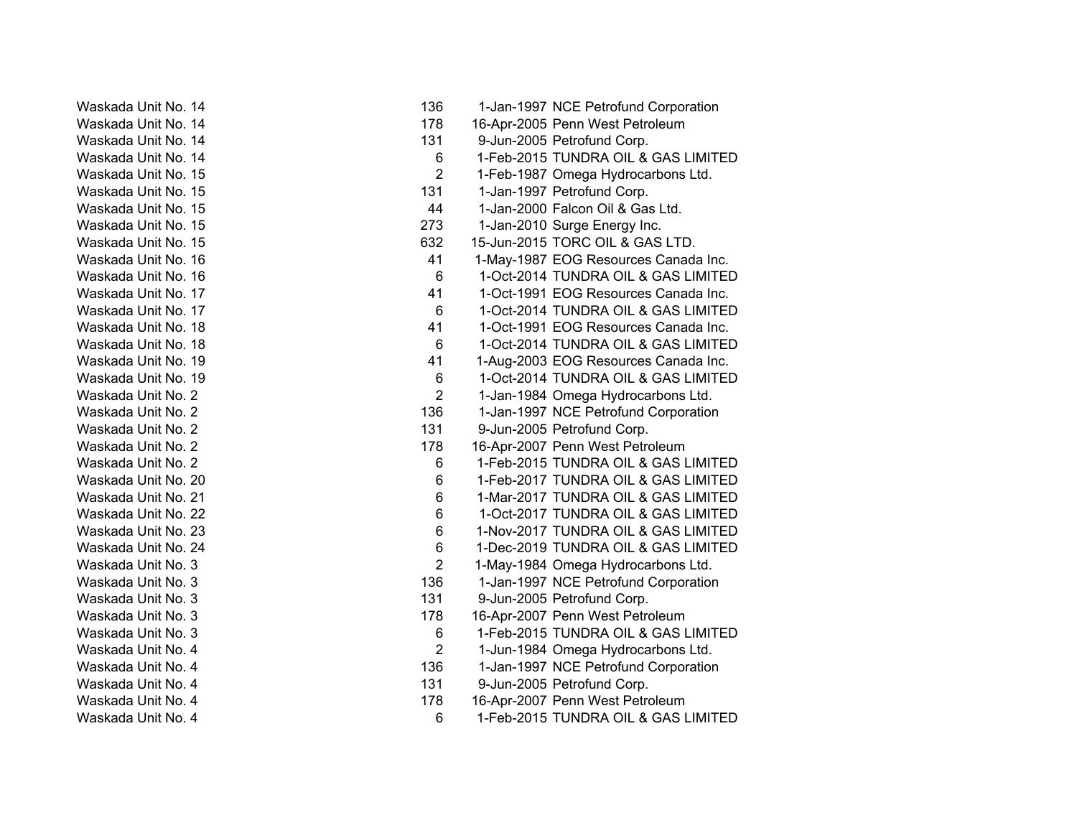| 14<br>Waskada Unit No.                |
|---------------------------------------|
| 14<br>Waskada Unit<br>No.             |
| 14<br>Waskada Unit<br>No.             |
| Waskada Unit<br>14<br>No.             |
| 15<br>Waskada Unit<br>No.             |
| 15<br>Waskada Unit<br>No.             |
| Waskada Unit<br>No.<br>15             |
| Waskada Unit<br>No.<br>15             |
| Waskada Unit<br>15<br>No.             |
| Waskada Unit<br>No.<br>16             |
| 16<br>Waskada Unit<br>No.             |
| 17<br>Waskada Unit<br>No.             |
| Waskada Unit<br>No.<br>17             |
| Waskada Unit<br>No.<br>18             |
| Waskada Unit<br>No.<br>18             |
| Waskada Unit<br>No.<br>19             |
| 19<br>Waskada Unit<br>No.             |
| Unit<br>2<br>Waskada<br>No.           |
| Unit<br>2<br>Waskada<br>No.           |
| Unit<br>2<br>No.<br>Waskada           |
| Unit<br>2<br>No.<br>Waskada           |
| $\overline{2}$<br>Waskada Unit<br>No. |
| 20<br>Waskada Unit<br>No.             |
| Waskada Unit<br>No.<br>21             |
| Waskada Unit No.<br>22                |
| Waskada Unit No.<br>23                |
| Waskada Unit<br>No.<br>24             |
| Waskada Unit<br>No.<br>3              |
| Waskada Unit<br>No.<br>3              |
| Waskada Unit<br>No.<br>3              |
| Waskada Unit<br>No.<br>3              |
| Waskada Unit<br>No.<br>3              |
| Waskada Unit<br>No.<br>4              |
| Waskada Unit No.<br>4                 |
| Waskada Unit No.<br>4                 |
| Waskada Unit No.<br>4                 |
| Waskada<br>Unit<br>No.<br>4           |

| Waskada Unit No. 14 | 136            | 1-Jan-1997 NCE Petrofund Corporation |
|---------------------|----------------|--------------------------------------|
| Waskada Unit No. 14 | 178            | 16-Apr-2005 Penn West Petroleum      |
| Waskada Unit No. 14 | 131            | 9-Jun-2005 Petrofund Corp.           |
| Waskada Unit No. 14 | 6              | 1-Feb-2015 TUNDRA OIL & GAS LIMITED  |
| Waskada Unit No. 15 | $\overline{2}$ | 1-Feb-1987 Omega Hydrocarbons Ltd.   |
| Waskada Unit No. 15 | 131            | 1-Jan-1997 Petrofund Corp.           |
| Waskada Unit No. 15 | 44             | 1-Jan-2000 Falcon Oil & Gas Ltd.     |
| Waskada Unit No. 15 | 273            | 1-Jan-2010 Surge Energy Inc.         |
| Waskada Unit No. 15 | 632            | 15-Jun-2015 TORC OIL & GAS LTD.      |
| Waskada Unit No. 16 | 41             | 1-May-1987 EOG Resources Canada Inc. |
| Waskada Unit No. 16 | 6              | 1-Oct-2014 TUNDRA OIL & GAS LIMITED  |
| Waskada Unit No. 17 | 41             | 1-Oct-1991 EOG Resources Canada Inc. |
| Waskada Unit No. 17 | 6              | 1-Oct-2014 TUNDRA OIL & GAS LIMITED  |
| Waskada Unit No. 18 | 41             | 1-Oct-1991 EOG Resources Canada Inc. |
| Waskada Unit No. 18 | 6              | 1-Oct-2014 TUNDRA OIL & GAS LIMITED  |
| Waskada Unit No. 19 | 41             | 1-Aug-2003 EOG Resources Canada Inc. |
| Waskada Unit No. 19 | 6              | 1-Oct-2014 TUNDRA OIL & GAS LIMITED  |
| Waskada Unit No. 2  | $\overline{2}$ | 1-Jan-1984 Omega Hydrocarbons Ltd.   |
| Waskada Unit No. 2  | 136            | 1-Jan-1997 NCE Petrofund Corporation |
| Waskada Unit No. 2  | 131            | 9-Jun-2005 Petrofund Corp.           |
| Waskada Unit No. 2  | 178            | 16-Apr-2007 Penn West Petroleum      |
| Waskada Unit No. 2  | 6              | 1-Feb-2015 TUNDRA OIL & GAS LIMITED  |
| Waskada Unit No. 20 | 6              | 1-Feb-2017 TUNDRA OIL & GAS LIMITED  |
| Waskada Unit No. 21 | 6              | 1-Mar-2017 TUNDRA OIL & GAS LIMITED  |
| Waskada Unit No. 22 | 6              | 1-Oct-2017 TUNDRA OIL & GAS LIMITED  |
| Waskada Unit No. 23 | 6              | 1-Nov-2017 TUNDRA OIL & GAS LIMITED  |
| Waskada Unit No. 24 | 6              | 1-Dec-2019 TUNDRA OIL & GAS LIMITED  |
| Waskada Unit No. 3  | $\overline{2}$ | 1-May-1984 Omega Hydrocarbons Ltd.   |
| Waskada Unit No. 3  | 136            | 1-Jan-1997 NCE Petrofund Corporation |
| Waskada Unit No. 3  | 131            | 9-Jun-2005 Petrofund Corp.           |
| Waskada Unit No. 3  | 178            | 16-Apr-2007 Penn West Petroleum      |
| Waskada Unit No. 3  | 6              | 1-Feb-2015 TUNDRA OIL & GAS LIMITED  |
| Waskada Unit No. 4  | $\overline{2}$ | 1-Jun-1984 Omega Hydrocarbons Ltd.   |
| Waskada Unit No. 4  | 136            | 1-Jan-1997 NCE Petrofund Corporation |
| Waskada Unit No. 4  | 131            | 9-Jun-2005 Petrofund Corp.           |
| Waskada Unit No. 4  | 178            | 16-Apr-2007 Penn West Petroleum      |
| Waskada Unit No. 4  | 6              | 1-Feb-2015 TUNDRA OIL & GAS LIMITED  |